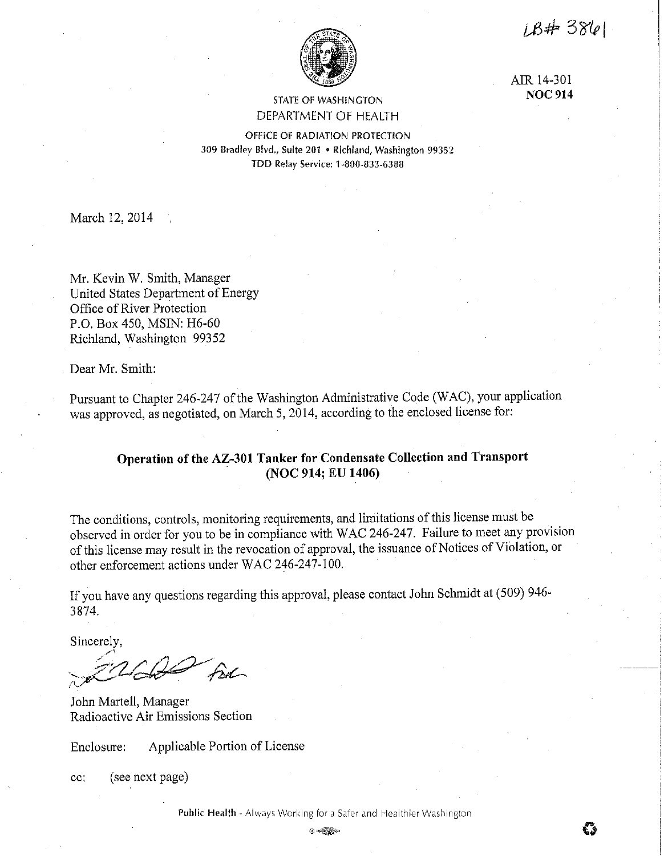$18#3861$ 

\_\_\_\_\_\_\_ i



AIR 14-301 **NOC 914** 

# STATE OF WASHINGTON DEPARTMENT OF HEALTH

OFFICE Of RADIATION PROTECTION 309 Bradley Blvd., Suite 201 • Richland, Washington 99352 TDD Relay Service: 1-800-833-6388

March 12, 2014

Mr. Kevin W. Smith, Manager United States Department of Energy Office of River Protection P.O. Box 450, MSIN: H6-60 Richland, Washington 99352

Dear Mr. Smith:

Pursuant to Chapter 246-247 of the Washington Administrative Code (WAC), your application was approved, as negotiated, on March 5, 2014, according to the enclosed license for:

# **Operation of the AZ-301 Tanker for Condensate Collection and Transport (NOC 914; EU 1406)**

The conditions, controls, monitoring requirements, and limitations of this license must be observed in order for you to be in compliance with WAC 246-247. Failure to meet any provision of this license may result in the revocation of approval, the issuance of Notices of Violation, or other enforcement actions under WAC 246-247-100.

If you have any questions regarding this approval, please contact John Schmidt at (509) 946- 3874.

Sincerely,

Be

John Martell, Manager Radioactive Air Emissions Section

Enclosure: Applicable Portion of License

cc: (see next page)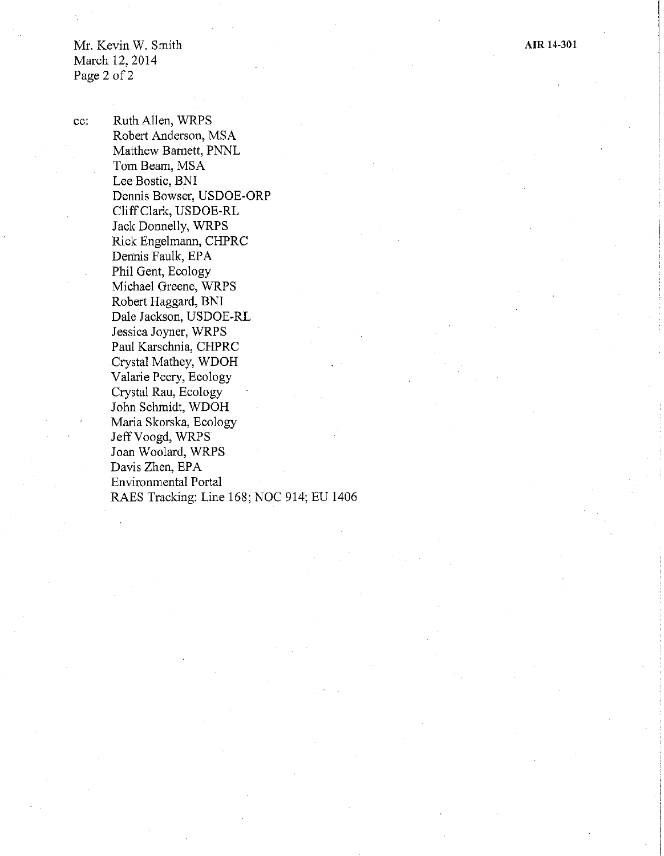Mr. Kevin W. Smith March 12, 2014 Page 2 of 2

cc: Ruth Allen, WRPS Robert Anderson, MSA Matthew Barnett, PNNL Tom Beam, MSA Lee Bostic, BNI Dennis Bowser, USDOE-ORP Cliff Clark, USDOE-RL Jack Donnelly, WRPS Rick Engelmann, CHPRC Dennis Faulk, EPA Phil Gent, Ecology Michael Greene, WRPS Robert Haggard, BNI Dale Jackson, USDOE-RL Jessica Joyner, WRPS Paul Karschnia, CHPRC Crystal Mathey, WDOH Valarie Peery, Ecology Crystal Rau, Ecology John Schmidt, WDOH Maria Skorska, Ecology JeffVoogd, WRPS Joan Woolard, WRPS Davis Zhen, EPA Environmental Portal RAES Tracking: Line 168; NOC 914; EU 1406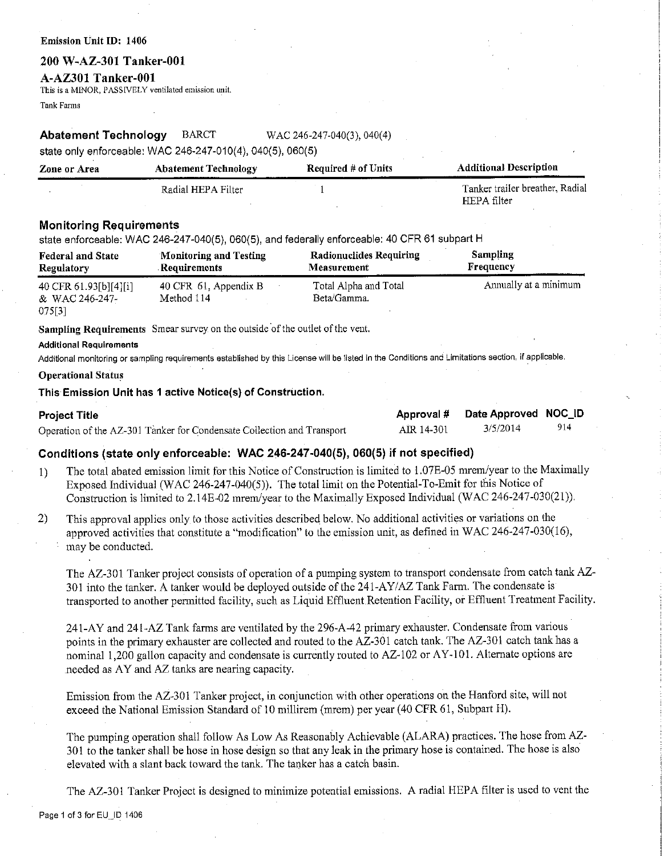### Emission Unit ID: 1406

# **200 W-AZ--301 Tanker-001**

## **A-AZ301 Tanker-001**

This is a MINOR, PASSIVELY ventilated emission unit.

Tank Fanns

## **Abatement Technology** BARCT WAC 246-247-040(3), 040(4)

state only enforceable: WAC 246-247-010(4), 040(5), 060(5)

| Zone or Area | <b>Abatement Technology</b> | <b>Required # of Units</b> | <b>Additional Description</b>   |
|--------------|-----------------------------|----------------------------|---------------------------------|
|              | Radial HEPA Filter          |                            | Tanker trailer breather, Radial |
|              |                             |                            | HEPA filter                     |

# **Monitoring Requirements**

state enforceable: WAC 246-247-040(5), 060(5), and federally enforceable: 40 CFR 61 subpart H

| <b>Federal and State</b>                          | Monitoring and Testing              | <b>Radionuclides Requiring</b>       | Sampling              |
|---------------------------------------------------|-------------------------------------|--------------------------------------|-----------------------|
| Regulatory                                        | Requirements                        | <b>Measurement</b>                   | Frequency             |
| 40 CFR 61.93[b][4][i]<br>& WAC 246-247-<br>075[3] | 40 CFR 61, Appendix B<br>Method 114 | Total Alpha and Total<br>Beta/Gamma. | Annually at a minimum |

**Sampling Requirements** Smear survey on the outside of the outlet of the vent.

#### Additional Requirements

Additional monitoring or sampling requirements established by this License will be listed in the Conditions and Limitations section, if applicable.

### **Operational Status**

**This Emission Unit has 1 active Notice(s) of Construction.** 

| <b>Project Title</b>                                                   | Approval # | Date Approved NOC_ID |     |
|------------------------------------------------------------------------|------------|----------------------|-----|
| Operation of the AZ-301 Tanker for Condensate Collection and Transport | AIR 14-301 | 3/5/2014             | 914 |

# **Conditions (state only enforceable: WAC 246-247-040(5), 060(5) if not specified)**

- 1) The total abated emission limit for this Notice of Construction is limited to I .07E-05 mrem/year to the Maximally Exposed Individual (WAC 246-247-040(5)). The total limit on the Potential-To-Emit for this Notice of Construction is limited to 2.14E-02 mrem/year to the Maximally Exposed Individual (WAC 246-247-030(21)).
- 2) This approval applies only to those activities described below. No additional activities or variations on the approved activities that constitute a "modification" to the emission unit, as defined in WAC 246-247-030(16), may be conducted.

The AZ-301 Tanker project consists of operation of a pumping system to transport condensate from catch tank AZ-301 into the tanker. A tanker would be deployed outside of the 241-AY/AZ Tank Farm. The condensate is transported to another permitted facility, such as Liquid Effluent Retention Facility, or Effluent Treatment Facility.

241-AY and 241-AZ Tank farms are ventilated by the 296-A-42 primary exhauster. Condensate from various points in the primary exhauster are collected and routed to the AZ-301 catch tank. The AZ-301 catch tank has a nominal 1,200 gallon capacity and condensate is currently routed to AZ-102 or AY-101. Alternate options are needed as AY and AZ tanks are nearing capacity.

Emission from the AZ-301 Tanker project, in conjunction with other operations on the Hanford site, will not exceed the National Emission Standard of 10 millirem (mrem) per year (40 CFR 61, Subpart H).

The pumping operation shall follow As Low As Reasonably Achievable (ALARA) practices. The hose from AZ-301 to the tanker shall be hose in hose design so that any leak in the primary hose is contained. The hose is also elevated with a slant back toward the tank. The tanker has a catch basin.

The AZ-301 Tanker Project is designed to minimize potential emissions. A radial HEPA filter is used to vent the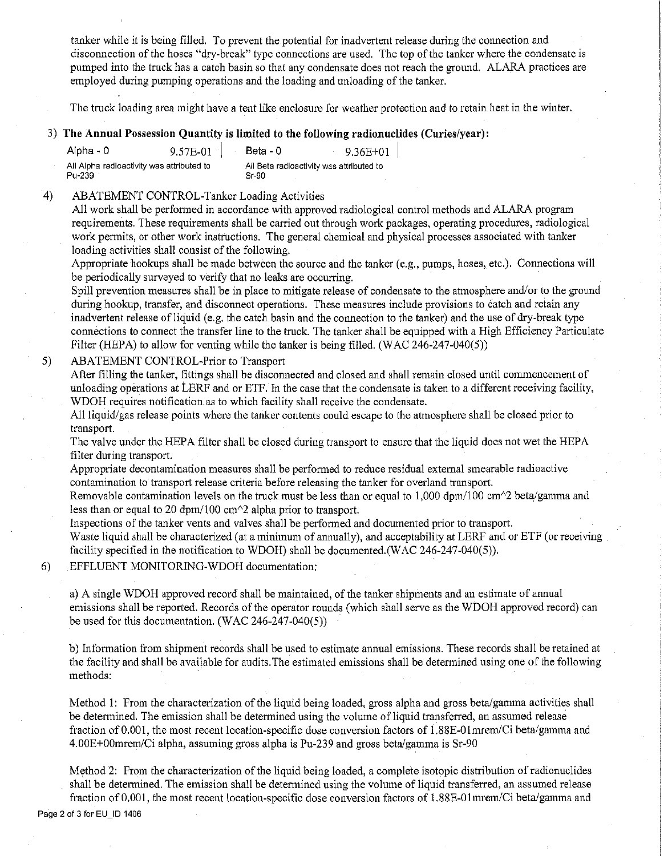tanker while it is being filled. To prevent the potential for inadvertent release during the connection and disconnection of the hoses "dry-break" type connections are used. The top of the tanker where the condensate is pumped into the truck has a catch basin so that any condensate does not reach the ground. ALARA practices are employed during pumping operations and the loading and unloading of the tanker.

The truck loading area might have a tent like enclosure for weather protection and to retain heat in the winter.

# 3) **The Annual Possession Qnantity is limited to the following radionnclides (Curies/year):**

| Alpha - 0                                           | 9.57E-01 | Beta - 0                                            | 9.36E+01 |
|-----------------------------------------------------|----------|-----------------------------------------------------|----------|
| All Alpha radioactivity was attributed to<br>Pu-239 |          | All Beta radioactivity was attributed to<br>$Sr-90$ |          |

## 4) ABATEMENT CONTROL-Tanlcer Loading Activities

All work shall be perfonned in accordance with approved radiological control methods and ALARA program requirements. These requirements shall be carried out through work packages, operating procedures, radiological work permits, or other work instructions. The general chemical and physical processes associated with tanker loading activities shall consist of the following.

Appropriate hookups shall be made between the source and the tanker (e.g., pumps, hoses, etc.). Connections will be periodically surveyed to verify that no leaks are occurring.

Spill prevention measures shall be in place to mitigate release of condensate to the atmosphere and/or to the ground during hookup, transfer, and disconnect operations. These measures include provisions to catch and retain any inadvertent release of liquid (e.g. the catch basin and the connection to the tanker) and the use of dry-break type connections to connect the transfer line to the truck. The tanker shall be equipped with a High Efficiency Particulate Filter (HEPA) to allow for venting while the tanker is being filled. (WAC 246-247-040(5))

### 5) ABATEMENT CONTROL-Prior to Transport

After filling the tanker, fittings shall be disconnected and closed and shall remain closed until commencement of unloading operations at LERF and or ETF. In the case that the condensate is taken to a different receiving facility, WDOH requires notification as to which facility shall receive the condensate.

All liquid/gas release points where the tanker contents could escape to the atmosphere shall be closed prior to transport.

The valve under the HEPA filter shall be closed during transport to ensure that the liquid does not wet the HEPA filter during transport.

Appropriate decontamination measures shall be perfonned to reduce residual external smearable radioactive contamination to transport release criteria before releasing the tanker for overland transport.

Removable contamination levels on the truck must be less than or equal to 1,000 dpm/100 cm $\gamma$ 2 beta/gamma and less than or equal to 20 dpm/100 cm $\textdegree$ 2 alpha prior to transport.

Inspections of the tanker vents and valves shall be performed and documented prior to transport.

Waste liquid shall be characterized (at a minimum of annually), and acceptability at LERF and or ETF (or receiving facility specified in the notification to WDOH) shall be documented.(WAC 246-247-040(5)).

# 6) EFFLUENT MONITORING-WDOH documentation:

a) A single WDOH approved record shall be maintained, of the tanker shipments and an estimate of annual emissions shall be reported. Records of the operator rounds ( which shall serve as the WDOH approved record) can be used for this documentation. (WAC 246-247-040(5))

b) Information from shipment records shall be used to estimate annual emissions. These records shall be retained at the facility and shall be available for audits.The estimated emissions shall be detennined using one of the following methods:

Method 1: From the characterization of the liquid being loaded, gross alpha and gross beta/gamma activities shall be detennined. The emission shall be determined using the volume of liquid transferred, an assumed release fraction of 0.001, the most recent location-specific dose conversion factors of 1.88E-01mrem/Ci beta/gamma and 4.00E+00mrem/Ci alpha, assuming gross alpha is Pu-239 and gross beta/gamma is Sr-90

Method 2: From the characterization of the liquid being loaded, a complete isotopic distribution of radionuclides shall be determined. The emission shall be detennined using the volume of liquid transferred, an assumed release fraction of 0.001, the most recent location-specific dose conversion factors of 1.88E-01mrem/Ci beta/gamma and